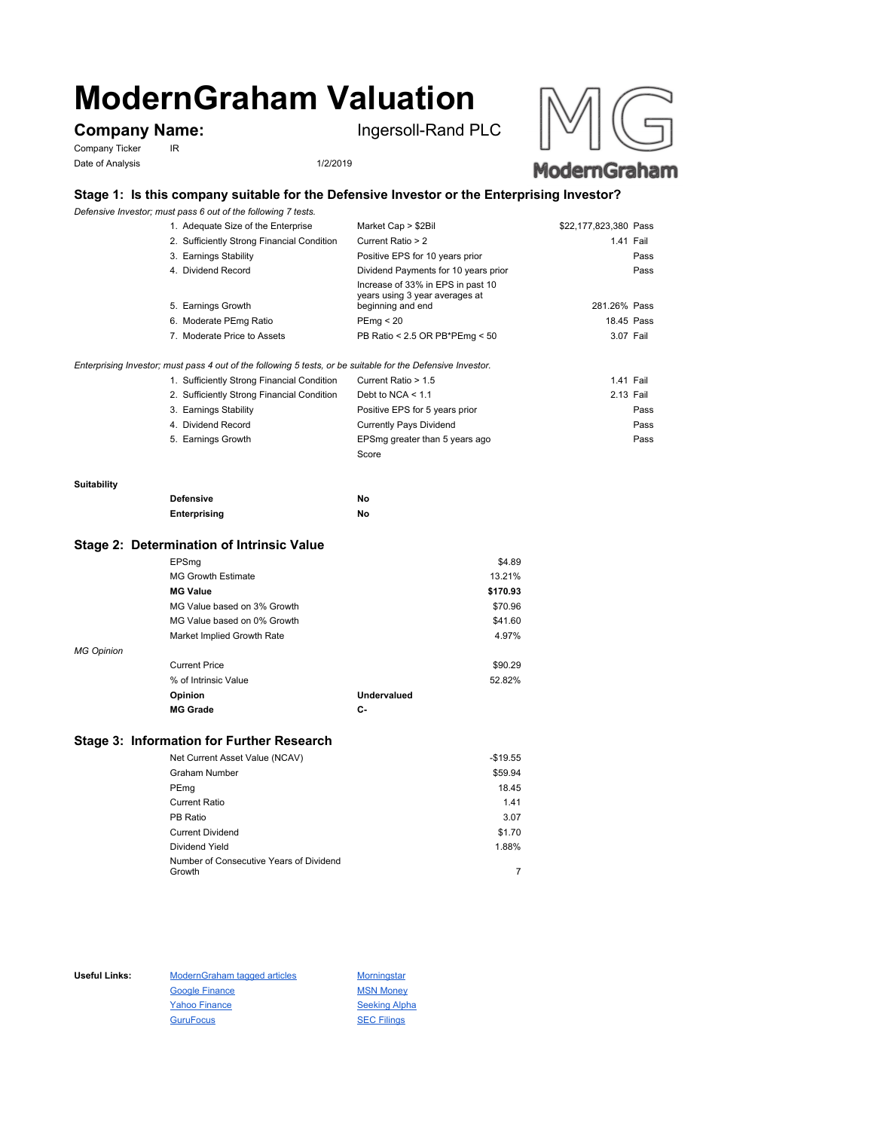# **ModernGraham Valuation**

Company Ticker IR Date of Analysis 1/2/2019

**Company Name:** Ingersoll-Rand PLC





# **Stage 1: Is this company suitable for the Defensive Investor or the Enterprising Investor?**

*Defensive Investor; must pass 6 out of the following 7 tests.*

| 1. Adequate Size of the Enterprise                                                                          | Market Cap > \$2Bil                                                                      | \$22,177,823,380 Pass |
|-------------------------------------------------------------------------------------------------------------|------------------------------------------------------------------------------------------|-----------------------|
| 2. Sufficiently Strong Financial Condition                                                                  | Current Ratio > 2                                                                        | 1.41 Fail             |
| 3. Earnings Stability                                                                                       | Positive EPS for 10 years prior                                                          | Pass                  |
| 4. Dividend Record                                                                                          | Dividend Payments for 10 years prior                                                     | Pass                  |
| 5. Earnings Growth                                                                                          | Increase of 33% in EPS in past 10<br>years using 3 year averages at<br>beginning and end | 281.26% Pass          |
| 6. Moderate PEmg Ratio                                                                                      | PEmg < 20                                                                                | 18.45 Pass            |
| 7. Moderate Price to Assets                                                                                 | PB Ratio < 2.5 OR PB*PEmg < 50                                                           | 3.07 Fail             |
| Enterprising Investor; must pass 4 out of the following 5 tests, or be suitable for the Defensive Investor. |                                                                                          |                       |

| 1. Sufficiently Strong Financial Condition | Current Ratio > 1.5            | 1.41 Fail |      |
|--------------------------------------------|--------------------------------|-----------|------|
| 2. Sufficiently Strong Financial Condition | Debt to NCA $<$ 1.1            | 2.13 Fail |      |
| 3. Earnings Stability                      | Positive EPS for 5 years prior |           | Pass |
| 4. Dividend Record                         | <b>Currently Pays Dividend</b> |           | Pass |
| 5. Earnings Growth                         | EPSmg greater than 5 years ago |           | Pass |
|                                            | Score                          |           |      |

#### **Suitability**

| <b>Defensive</b> | Νo |
|------------------|----|
| Enterprising     | Νo |

### **Stage 2: Determination of Intrinsic Value**

|                   | EPSmg                       |             | \$4.89   |
|-------------------|-----------------------------|-------------|----------|
|                   | <b>MG Growth Estimate</b>   |             | 13.21%   |
|                   | <b>MG Value</b>             |             | \$170.93 |
|                   | MG Value based on 3% Growth |             | \$70.96  |
|                   | MG Value based on 0% Growth |             | \$41.60  |
|                   | Market Implied Growth Rate  |             | 4.97%    |
| <b>MG Opinion</b> |                             |             |          |
|                   | <b>Current Price</b>        |             | \$90.29  |
|                   | % of Intrinsic Value        |             | 52.82%   |
|                   | Opinion                     | Undervalued |          |
|                   | <b>MG Grade</b>             | С-          |          |
|                   |                             |             |          |

## **Stage 3: Information for Further Research**

| Net Current Asset Value (NCAV)          | $-$19.55$ |
|-----------------------------------------|-----------|
| Graham Number                           | \$59.94   |
| PEmg                                    | 18.45     |
| Current Ratio                           | 1.41      |
| PB Ratio                                | 3.07      |
| <b>Current Dividend</b>                 | \$1.70    |
| Dividend Yield                          | 1.88%     |
| Number of Consecutive Years of Dividend |           |
| Growth                                  |           |

Useful Links: ModernGraham tagged articles Morningstar Google Finance MSN Money Yahoo Finance Seeking Alpha GuruFocus SEC Filings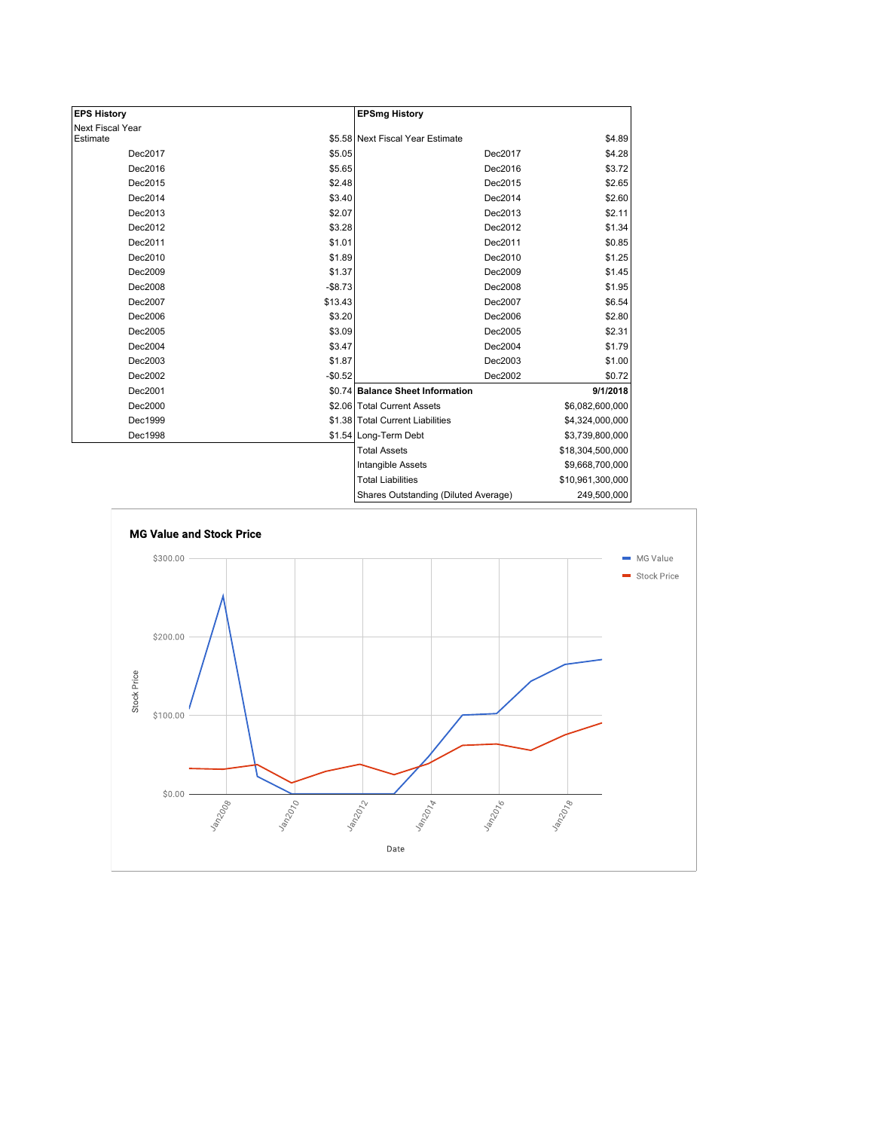| <b>EPS History</b> |          | <b>EPSmg History</b>                 |                  |
|--------------------|----------|--------------------------------------|------------------|
| Next Fiscal Year   |          |                                      |                  |
| Estimate           |          | \$5.58 Next Fiscal Year Estimate     | \$4.89           |
| Dec2017            | \$5.05   | Dec2017                              | \$4.28           |
| Dec2016            | \$5.65   | Dec2016                              | \$3.72           |
| Dec2015            | \$2.48   | Dec2015                              | \$2.65           |
| Dec2014            | \$3.40   | Dec2014                              | \$2.60           |
| Dec2013            | \$2.07   | Dec2013                              | \$2.11           |
| Dec2012            | \$3.28   | Dec2012                              | \$1.34           |
| Dec2011            | \$1.01   | Dec2011                              | \$0.85           |
| Dec2010            | \$1.89   | Dec2010                              | \$1.25           |
| Dec2009            | \$1.37   | Dec2009                              | \$1.45           |
| Dec2008            | $-$8.73$ | Dec2008                              | \$1.95           |
| Dec2007            | \$13.43  | Dec2007                              | \$6.54           |
| Dec2006            | \$3.20   | Dec2006                              | \$2.80           |
| Dec2005            | \$3.09   | Dec2005                              | \$2.31           |
| Dec2004            | \$3.47   | Dec2004                              | \$1.79           |
| Dec2003            | \$1.87   | Dec2003                              | \$1.00           |
| Dec2002            | $-$0.52$ | Dec2002                              | \$0.72           |
| Dec2001            |          | \$0.74 Balance Sheet Information     | 9/1/2018         |
| Dec2000            |          | \$2.06 Total Current Assets          | \$6,082,600,000  |
| Dec1999            |          | \$1.38 Total Current Liabilities     | \$4,324,000,000  |
| Dec1998            |          | \$1.54 Long-Term Debt                | \$3,739,800,000  |
|                    |          | <b>Total Assets</b>                  | \$18,304,500,000 |
|                    |          | Intangible Assets                    | \$9,668,700,000  |
|                    |          | <b>Total Liabilities</b>             | \$10,961,300,000 |
|                    |          | Charge Qutetanding (Diluted Average) | 240 500 000      |